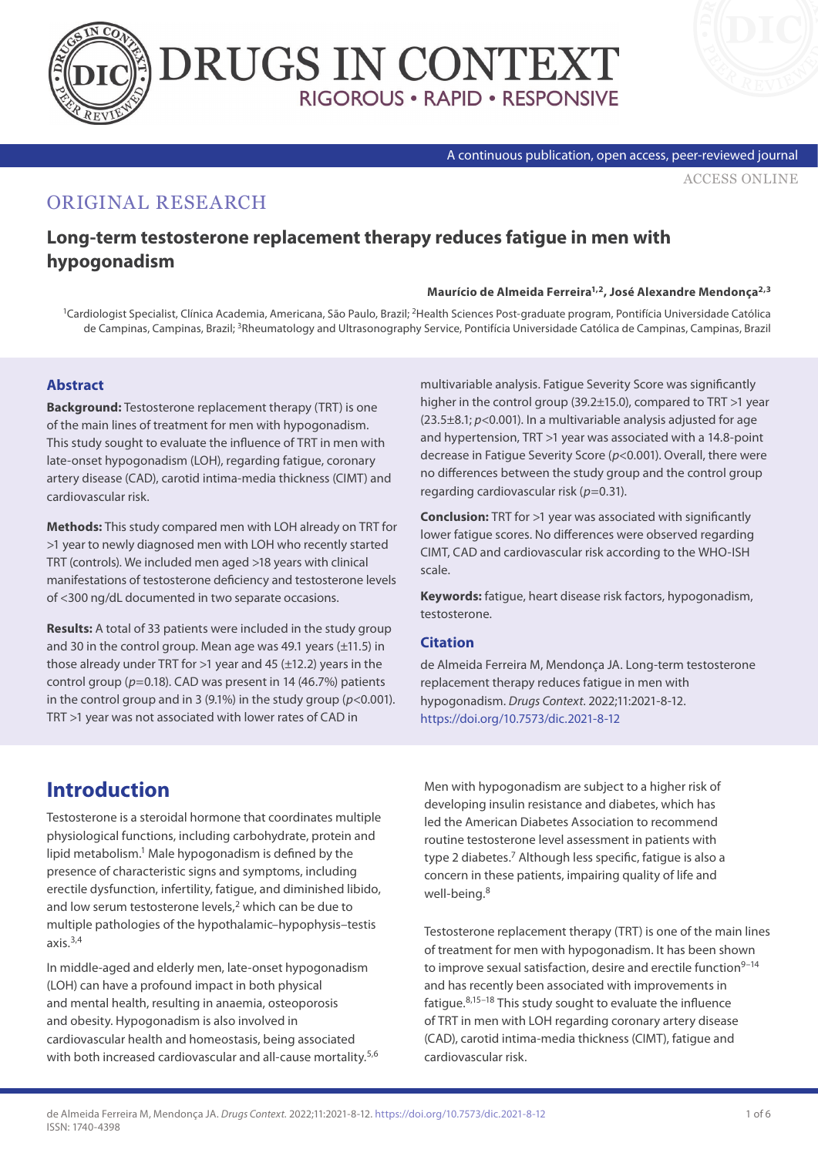



#### A continuous publication, open access, peer-reviewed journal

[ACCESS ONLINE](https://www.drugsincontext.com/long-term-testosterone-replacement-therapy-reduces-fatigue-in-men-with-hypogonadism)

## ORIGINAL RESEARCH

## **Long-term testosterone replacement therapy reduces fatigue in men with hypogonadism**

#### **Maurício de Almeida Ferreira1,2, José Alexandre Mendonça2,3**

<sup>1</sup>Cardiologist Specialist, Clínica Academia, Americana, São Paulo, Brazil; <sup>2</sup>Health Sciences Post-graduate program, Pontifícia Universidade Católica de Campinas, Campinas, Brazil; 3Rheumatology and Ultrasonography Service, Pontifícia Universidade Católica de Campinas, Campinas, Brazil

#### **Abstract**

**Background:** Testosterone replacement therapy (TRT) is one of the main lines of treatment for men with hypogonadism. This study sought to evaluate the influence of TRT in men with late-onset hypogonadism (LOH), regarding fatigue, coronary artery disease (CAD), carotid intima-media thickness (CIMT) and cardiovascular risk.

**Methods:** This study compared men with LOH already on TRT for >1 year to newly diagnosed men with LOH who recently started TRT (controls). We included men aged >18 years with clinical manifestations of testosterone deficiency and testosterone levels of <300 ng/dL documented in two separate occasions.

**Results:** A total of 33 patients were included in the study group and 30 in the control group. Mean age was 49.1 years (±11.5) in those already under TRT for  $>1$  year and 45 ( $\pm$ 12.2) years in the control group ( $p=0.18$ ). CAD was present in 14 (46.7%) patients in the control group and in 3 (9.1%) in the study group (*p*<0.001). TRT >1 year was not associated with lower rates of CAD in

multivariable analysis. Fatigue Severity Score was significantly higher in the control group (39.2±15.0), compared to TRT >1 year (23.5±8.1; *p*<0.001). In a multivariable analysis adjusted for age and hypertension, TRT >1 year was associated with a 14.8-point decrease in Fatigue Severity Score (*p*<0.001). Overall, there were no differences between the study group and the control group regarding cardiovascular risk (*p*=0.31).

**Conclusion:** TRT for >1 year was associated with significantly lower fatigue scores. No differences were observed regarding CIMT, CAD and cardiovascular risk according to the WHO-ISH scale.

**Keywords:** fatigue, heart disease risk factors, hypogonadism, testosterone.

#### **Citation**

de Almeida Ferreira M, Mendonça JA. Long-term testosterone replacement therapy reduces fatigue in men with hypogonadism. *Drugs Context*. 2022;11:2021-8-12. <https://doi.org/10.7573/dic.2021-8-12>

# **Introduction**

Testosterone is a steroidal hormone that coordinates multiple physiological functions, including carbohydrate, protein and lipid metabolism.<sup>1</sup> Male hypogonadism is defined by the presence of characteristic signs and symptoms, including erectile dysfunction, infertility, fatigue, and diminished libido, and low serum testosterone levels,<sup>2</sup> which can be due to multiple pathologies of the hypothalamic–hypophysis–testis axis. $3,4$ 

In middle-aged and elderly men, late-onset hypogonadism (LOH) can have a profound impact in both physical and mental health, resulting in anaemia, osteoporosis and obesity. Hypogonadism is also involved in cardiovascular health and homeostasis, being associated with both increased cardiovascular and all-cause mortality.<sup>5,6</sup> Men with hypogonadism are subject to a higher risk of developing insulin resistance and diabetes, which has led the American Diabetes Association to recommend routine testosterone level assessment in patients with type 2 diabetes.<sup>7</sup> Although less specific, fatigue is also a concern in these patients, impairing quality of life and well-being.8

Testosterone replacement therapy (TRT) is one of the main lines of treatment for men with hypogonadism. It has been shown to improve sexual satisfaction, desire and erectile function $9-14$ and has recently been associated with improvements in fatigue.8,15–18 This study sought to evaluate the influence of TRT in men with LOH regarding coronary artery disease (CAD), carotid intima-media thickness (CIMT), fatigue and cardiovascular risk.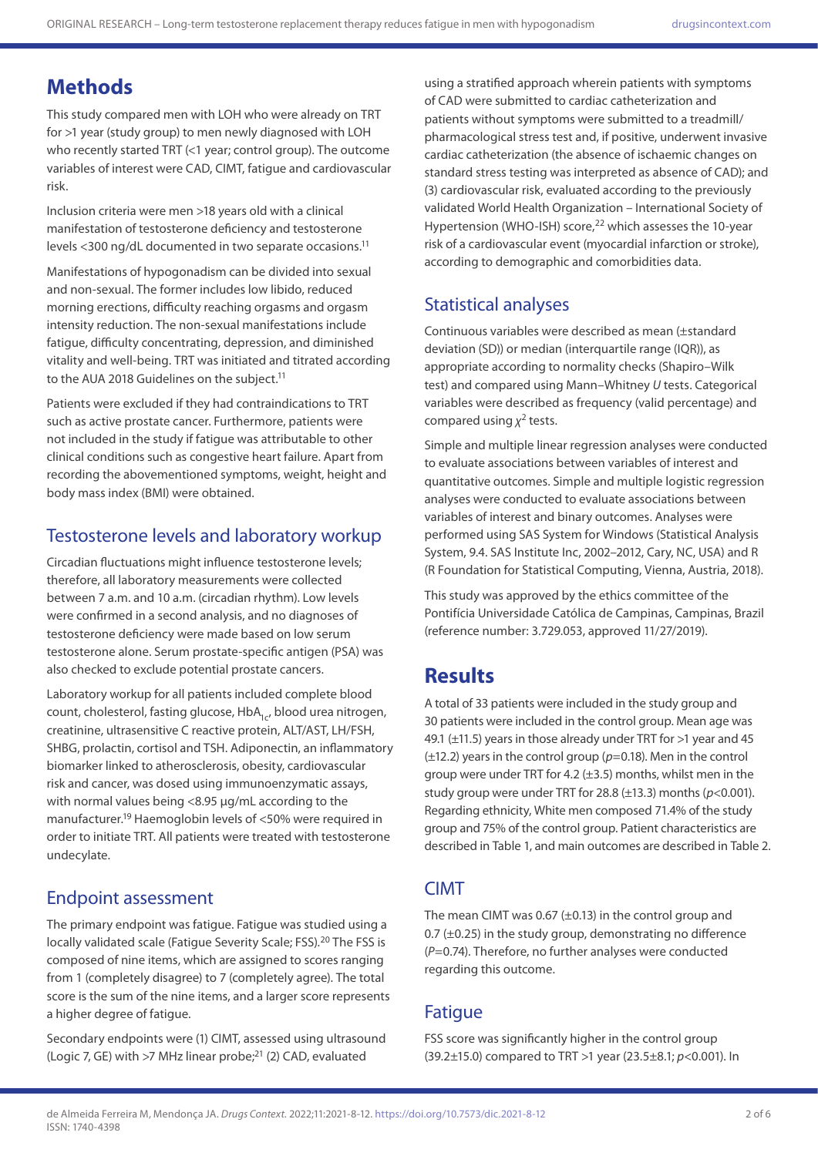# **Methods**

This study compared men with LOH who were already on TRT for >1 year (study group) to men newly diagnosed with LOH who recently started TRT (<1 year; control group). The outcome variables of interest were CAD, CIMT, fatigue and cardiovascular risk.

Inclusion criteria were men >18 years old with a clinical manifestation of testosterone deficiency and testosterone levels <300 ng/dL documented in two separate occasions.11

Manifestations of hypogonadism can be divided into sexual and non-sexual. The former includes low libido, reduced morning erections, difficulty reaching orgasms and orgasm intensity reduction. The non-sexual manifestations include fatigue, difficulty concentrating, depression, and diminished vitality and well-being. TRT was initiated and titrated according to the AUA 2018 Guidelines on the subject.<sup>11</sup>

Patients were excluded if they had contraindications to TRT such as active prostate cancer. Furthermore, patients were not included in the study if fatigue was attributable to other clinical conditions such as congestive heart failure. Apart from recording the abovementioned symptoms, weight, height and body mass index (BMI) were obtained.

### Testosterone levels and laboratory workup

Circadian fluctuations might influence testosterone levels; therefore, all laboratory measurements were collected between 7 a.m. and 10 a.m. (circadian rhythm). Low levels were confirmed in a second analysis, and no diagnoses of testosterone deficiency were made based on low serum testosterone alone. Serum prostate-specific antigen (PSA) was also checked to exclude potential prostate cancers.

Laboratory workup for all patients included complete blood count, cholesterol, fasting glucose, HbA<sub>1c</sub>, blood urea nitrogen, creatinine, ultrasensitive C reactive protein, ALT/AST, LH/FSH, SHBG, prolactin, cortisol and TSH. Adiponectin, an inflammatory biomarker linked to atherosclerosis, obesity, cardiovascular risk and cancer, was dosed using immunoenzymatic assays, with normal values being <8.95 µg/mL according to the manufacturer.19 Haemoglobin levels of <50% were required in order to initiate TRT. All patients were treated with testosterone undecylate.

### Endpoint assessment

The primary endpoint was fatigue. Fatigue was studied using a locally validated scale (Fatigue Severity Scale; FSS).<sup>20</sup> The FSS is composed of nine items, which are assigned to scores ranging from 1 (completely disagree) to 7 (completely agree). The total score is the sum of the nine items, and a larger score represents a higher degree of fatigue.

Secondary endpoints were (1) CIMT, assessed using ultrasound (Logic 7, GE) with  $>7$  MHz linear probe;<sup>21</sup> (2) CAD, evaluated

using a stratified approach wherein patients with symptoms of CAD were submitted to cardiac catheterization and patients without symptoms were submitted to a treadmill/ pharmacological stress test and, if positive, underwent invasive cardiac catheterization (the absence of ischaemic changes on standard stress testing was interpreted as absence of CAD); and (3) cardiovascular risk, evaluated according to the previously validated World Health Organization – International Society of Hypertension (WHO-ISH) score,<sup>22</sup> which assesses the 10-year risk of a cardiovascular event (myocardial infarction or stroke), according to demographic and comorbidities data.

### Statistical analyses

Continuous variables were described as mean (±standard deviation (SD)) or median (interquartile range (IQR)), as appropriate according to normality checks (Shapiro–Wilk test) and compared using Mann–Whitney *U* tests. Categorical variables were described as frequency (valid percentage) and compared using *χ*2 tests.

Simple and multiple linear regression analyses were conducted to evaluate associations between variables of interest and quantitative outcomes. Simple and multiple logistic regression analyses were conducted to evaluate associations between variables of interest and binary outcomes. Analyses were performed using SAS System for Windows (Statistical Analysis System, 9.4. SAS Institute Inc, 2002–2012, Cary, NC, USA) and R (R Foundation for Statistical Computing, Vienna, Austria, 2018).

This study was approved by the ethics committee of the Pontifícia Universidade Católica de Campinas, Campinas, Brazil (reference number: 3.729.053, approved 11/27/2019).

# **Results**

A total of 33 patients were included in the study group and 30 patients were included in the control group. Mean age was 49.1 (±11.5) years in those already under TRT for >1 year and 45 (±12.2) years in the control group (*p*=0.18). Men in the control group were under TRT for 4.2 (±3.5) months, whilst men in the study group were under TRT for 28.8 (±13.3) months (*p*<0.001). Regarding ethnicity, White men composed 71.4% of the study group and 75% of the control group. Patient characteristics are described in Table 1, and main outcomes are described in Table 2.

### CIMT

The mean CIMT was 0.67  $(\pm 0.13)$  in the control group and 0.7  $(\pm 0.25)$  in the study group, demonstrating no difference (*P*=0.74). Therefore, no further analyses were conducted regarding this outcome.

### **Fatique**

FSS score was significantly higher in the control group (39.2±15.0) compared to TRT >1 year (23.5±8.1; *p*<0.001). In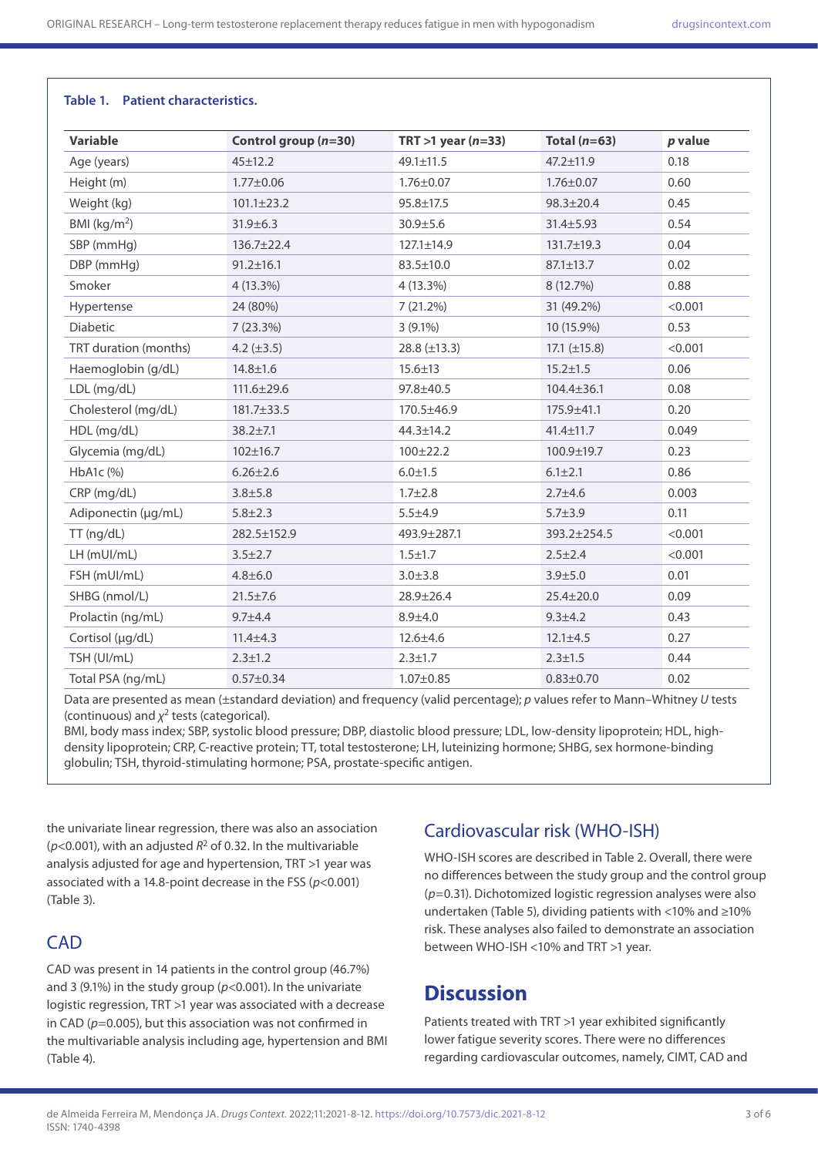#### **Table 1. Patient characteristics.**

| <b>Variable</b>       | Control group $(n=30)$ | TRT $>1$ year (n=33) | Total $(n=63)$    | p value |
|-----------------------|------------------------|----------------------|-------------------|---------|
| Age (years)           | $45 \pm 12.2$          | $49.1 \pm 11.5$      | $47.2 \pm 11.9$   | 0.18    |
| Height (m)            | $1.77 \pm 0.06$        | $1.76 \pm 0.07$      | $1.76 \pm 0.07$   | 0.60    |
| Weight (kg)           | $101.1 \pm 23.2$       | $95.8 \pm 17.5$      | $98.3 \pm 20.4$   | 0.45    |
| BMI ( $kg/m2$ )       | $31.9 \pm 6.3$         | $30.9 + 5.6$         | $31.4 \pm 5.93$   | 0.54    |
| SBP (mmHg)            | $136.7 \pm 22.4$       | 127.1±14.9           | 131.7±19.3        | 0.04    |
| DBP (mmHg)            | $91.2 \pm 16.1$        | 83.5±10.0            | $87.1 \pm 13.7$   | 0.02    |
| Smoker                | 4 (13.3%)              | $4(13.3\%)$          | 8 (12.7%)         | 0.88    |
| Hypertense            | 24 (80%)               | 7(21.2%)             | 31 (49.2%)        | < 0.001 |
| Diabetic              | 7(23.3%)               | $3(9.1\%)$           | 10 (15.9%)        | 0.53    |
| TRT duration (months) | 4.2 $(\pm 3.5)$        | 28.8 $(\pm 13.3)$    | 17.1 $(\pm 15.8)$ | < 0.001 |
| Haemoglobin (g/dL)    | $14.8 \pm 1.6$         | $15.6 \pm 13$        | $15.2 \pm 1.5$    | 0.06    |
| LDL (mg/dL)           | $111.6 \pm 29.6$       | 97.8±40.5            | $104.4 \pm 36.1$  | 0.08    |
| Cholesterol (mg/dL)   | 181.7±33.5             | 170.5±46.9           | $175.9 + 41.1$    | 0.20    |
| HDL (mg/dL)           | $38.2 + 7.1$           | $44.3 \pm 14.2$      | $41.4 \pm 11.7$   | 0.049   |
| Glycemia (mg/dL)      | $102 \pm 16.7$         | $100 \pm 22.2$       | 100.9±19.7        | 0.23    |
| HbA1c (%)             | $6.26 \pm 2.6$         | $6.0 \pm 1.5$        | $6.1 \pm 2.1$     | 0.86    |
| CRP (mg/dL)           | $3.8 + 5.8$            | $1.7 + 2.8$          | $2.7 + 4.6$       | 0.003   |
| Adiponectin (µg/mL)   | $5.8 + 2.3$            | $5.5 + 4.9$          | $5.7 + 3.9$       | 0.11    |
| TT (ng/dL)            | 282.5±152.9            | 493.9±287.1          | 393.2±254.5       | < 0.001 |
| LH (mUI/mL)           | $3.5 \pm 2.7$          | $1.5 \pm 1.7$        | $2.5 \pm 2.4$     | < 0.001 |
| FSH (mUI/mL)          | $4.8 + 6.0$            | $3.0 + 3.8$          | $3.9 + 5.0$       | 0.01    |
| SHBG (nmol/L)         | $21.5 \pm 7.6$         | $28.9 \pm 26.4$      | $25.4 \pm 20.0$   | 0.09    |
| Prolactin (ng/mL)     | $9.7 + 4.4$            | $8.9 + 4.0$          | $9.3 + 4.2$       | 0.43    |
| Cortisol (µg/dL)      | $11.4 \pm 4.3$         | $12.6 \pm 4.6$       | $12.1 \pm 4.5$    | 0.27    |
| TSH (UI/mL)           | $2.3 \pm 1.2$          | $2.3 \pm 1.7$        | $2.3 \pm 1.5$     | 0.44    |
| Total PSA (ng/mL)     | $0.57 \pm 0.34$        | $1.07 \pm 0.85$      | $0.83 \pm 0.70$   | 0.02    |
|                       |                        |                      |                   |         |

Data are presented as mean (±standard deviation) and frequency (valid percentage); *p* values refer to Mann–Whitney *U* tests (continuous) and *χ*2 tests (categorical).

BMI, body mass index; SBP, systolic blood pressure; DBP, diastolic blood pressure; LDL, low-density lipoprotein; HDL, highdensity lipoprotein; CRP, C-reactive protein; TT, total testosterone; LH, luteinizing hormone; SHBG, sex hormone-binding globulin; TSH, thyroid-stimulating hormone; PSA, prostate-specific antigen.

the univariate linear regression, there was also an association ( $p$ <0.001), with an adjusted  $R^2$  of 0.32. In the multivariable analysis adjusted for age and hypertension, TRT >1 year was associated with a 14.8-point decrease in the FSS (*p*<0.001) (Table 3).

### **CAD**

CAD was present in 14 patients in the control group (46.7%) and 3 (9.1%) in the study group (*p*<0.001). In the univariate logistic regression, TRT >1 year was associated with a decrease in CAD (*p*=0.005), but this association was not confirmed in the multivariable analysis including age, hypertension and BMI (Table 4).

### Cardiovascular risk (WHO-ISH)

WHO-ISH scores are described in Table 2. Overall, there were no differences between the study group and the control group (*p*=0.31). Dichotomized logistic regression analyses were also undertaken (Table 5), dividing patients with <10% and ≥10% risk. These analyses also failed to demonstrate an association between WHO-ISH <10% and TRT >1 year.

# **Discussion**

Patients treated with TRT >1 year exhibited significantly lower fatigue severity scores. There were no differences regarding cardiovascular outcomes, namely, CIMT, CAD and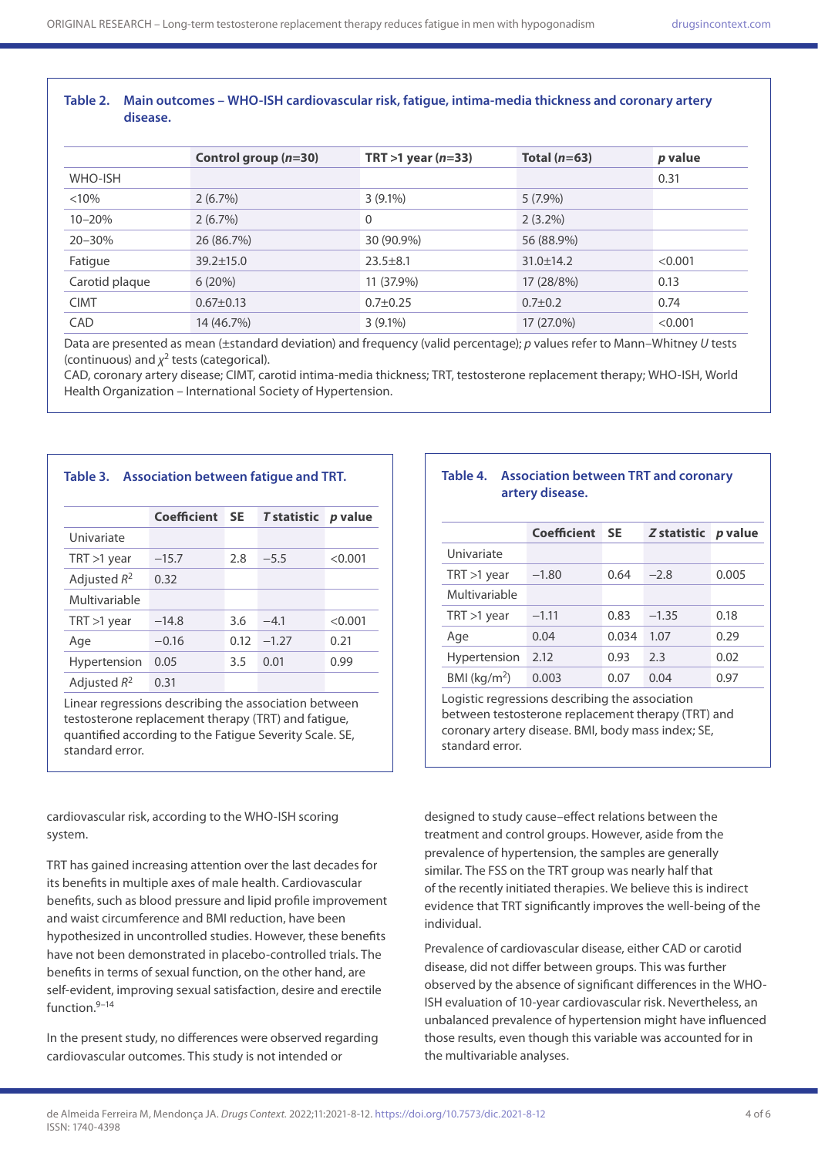#### **Table 2. Main outcomes – WHO-ISH cardiovascular risk, fatigue, intima-media thickness and coronary artery disease.**

|                | Control group $(n=30)$ | TRT $>1$ year (n=33) | Total $(n=63)$  | <i>p</i> value |
|----------------|------------------------|----------------------|-----------------|----------------|
| WHO-ISH        |                        |                      |                 | 0.31           |
| < 10%          | 2(6.7%)                | $3(9.1\%)$           | $5(7.9\%)$      |                |
| $10 - 20%$     | $2(6.7\%)$             | 0                    | $2(3.2\%)$      |                |
| $20 - 30\%$    | 26 (86.7%)             | 30 (90.9%)           | 56 (88.9%)      |                |
| Fatigue        | $39.2 \pm 15.0$        | $23.5 + 8.1$         | $31.0 \pm 14.2$ | < 0.001        |
| Carotid plaque | 6(20%)                 | 11 (37.9%)           | 17 (28/8%)      | 0.13           |
| <b>CIMT</b>    | $0.67 \pm 0.13$        | $0.7 \pm 0.25$       | $0.7 \pm 0.2$   | 0.74           |
| CAD            | 14 (46.7%)             | $3(9.1\%)$           | 17 (27.0%)      | < 0.001        |

Data are presented as mean (±standard deviation) and frequency (valid percentage); *p* values refer to Mann–Whitney *U* tests (continuous) and *χ*2 tests (categorical).

CAD, coronary artery disease; CIMT, carotid intima-media thickness; TRT, testosterone replacement therapy; WHO-ISH, World Health Organization – International Society of Hypertension.

| Table 3. Association between fatigue and TRT. |
|-----------------------------------------------|
|                                               |

|                     | Coefficient | <b>SE</b> | <b>T</b> statistic | p value |
|---------------------|-------------|-----------|--------------------|---------|
| Univariate          |             |           |                    |         |
| $TRT > 1$ year      | $-15.7$     | 2.8       | $-5.5$             | < 0.001 |
| Adjusted $R^2$      | 0.32        |           |                    |         |
| Multivariable       |             |           |                    |         |
| $TRT > 1$ year      | $-14.8$     | 3.6       | $-4.1$             | < 0.001 |
| Age                 | $-0.16$     | 0.12      | $-1.27$            | 0.21    |
| <b>Hypertension</b> | 0.05        | 3.5       | 0.01               | 0.99    |
| Adjusted $R^2$      | 0.31        |           |                    |         |

Linear regressions describing the association between testosterone replacement therapy (TRT) and fatigue, quantified according to the Fatigue Severity Scale. SE, standard error.

cardiovascular risk, according to the WHO-ISH scoring system.

TRT has gained increasing attention over the last decades for its benefits in multiple axes of male health. Cardiovascular benefits, such as blood pressure and lipid profile improvement and waist circumference and BMI reduction, have been hypothesized in uncontrolled studies. However, these benefits have not been demonstrated in placebo-controlled trials. The benefits in terms of sexual function, on the other hand, are self-evident, improving sexual satisfaction, desire and erectile function.9–14

In the present study, no differences were observed regarding cardiovascular outcomes. This study is not intended or

#### **Table 4. Association between TRT and coronary artery disease.**

|                 | <b>Coefficient</b> | <b>SE</b> | Z statistic | <i>p</i> value |
|-----------------|--------------------|-----------|-------------|----------------|
| Univariate      |                    |           |             |                |
| $TRT > 1$ year  | $-1.80$            | 0.64      | $-2.8$      | 0.005          |
| Multivariable   |                    |           |             |                |
| $TRT > 1$ year  | $-1.11$            | 0.83      | $-1.35$     | 0.18           |
| Age             | 0.04               | 0.034     | 1.07        | 0.29           |
| Hypertension    | 2.12               | 0.93      | 2.3         | 0.02           |
| BMI ( $kg/m2$ ) | 0.003              | 0.07      | 0.04        | 0.97           |

Logistic regressions describing the association between testosterone replacement therapy (TRT) and coronary artery disease. BMI, body mass index; SE, standard error.

designed to study cause–effect relations between the treatment and control groups. However, aside from the prevalence of hypertension, the samples are generally similar. The FSS on the TRT group was nearly half that of the recently initiated therapies. We believe this is indirect evidence that TRT significantly improves the well-being of the individual.

Prevalence of cardiovascular disease, either CAD or carotid disease, did not differ between groups. This was further observed by the absence of significant differences in the WHO-ISH evaluation of 10-year cardiovascular risk. Nevertheless, an unbalanced prevalence of hypertension might have influenced those results, even though this variable was accounted for in the multivariable analyses.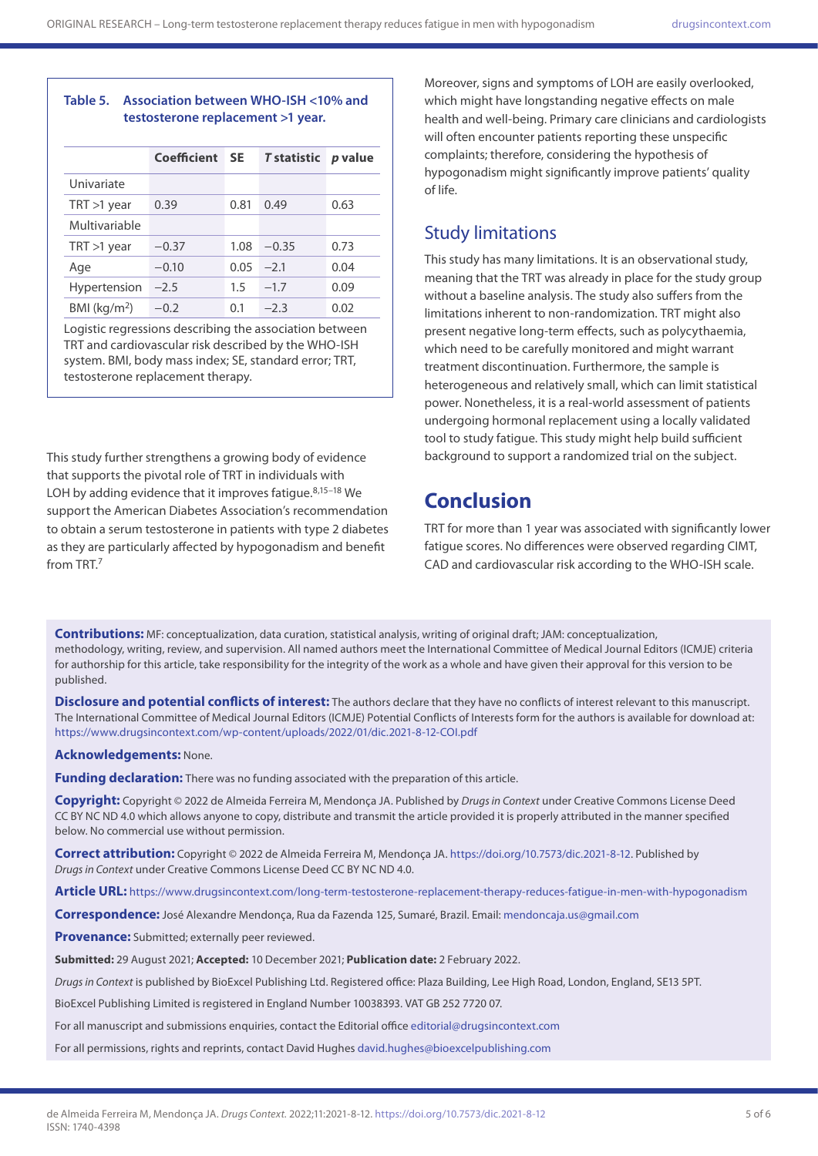#### **Table 5. Association between WHO-ISH <10% and testosterone replacement >1 year.**

|                     | Coefficient | <b>SE</b> | <b>T</b> statistic | p value |  |
|---------------------|-------------|-----------|--------------------|---------|--|
| Univariate          |             |           |                    |         |  |
| $TRT > 1$ year      | 0.39        | 0.81      | 0.49               | 0.63    |  |
| Multivariable       |             |           |                    |         |  |
| $TRT > 1$ year      | $-0.37$     | 1.08      | $-0.35$            | 0.73    |  |
| Age                 | $-0.10$     | 0.05      | $-21$              | 0.04    |  |
| <b>Hypertension</b> | $-2.5$      | 1.5       | $-1.7$             | 0.09    |  |
| BMI ( $kg/m2$ )     | $-0.2$      | 0.1       | $-2.3$             | 0.02    |  |

Logistic regressions describing the association between TRT and cardiovascular risk described by the WHO-ISH system. BMI, body mass index; SE, standard error; TRT, testosterone replacement therapy.

This study further strengthens a growing body of evidence that supports the pivotal role of TRT in individuals with LOH by adding evidence that it improves fatigue. $8,15-18$  We support the American Diabetes Association's recommendation to obtain a serum testosterone in patients with type 2 diabetes as they are particularly affected by hypogonadism and benefit from TRT $<sup>7</sup>$ </sup>

Moreover, signs and symptoms of LOH are easily overlooked, which might have longstanding negative effects on male health and well-being. Primary care clinicians and cardiologists will often encounter patients reporting these unspecific complaints; therefore, considering the hypothesis of hypogonadism might significantly improve patients' quality of life.

### Study limitations

This study has many limitations. It is an observational study, meaning that the TRT was already in place for the study group without a baseline analysis. The study also suffers from the limitations inherent to non-randomization. TRT might also present negative long-term effects, such as polycythaemia, which need to be carefully monitored and might warrant treatment discontinuation. Furthermore, the sample is heterogeneous and relatively small, which can limit statistical power. Nonetheless, it is a real-world assessment of patients undergoing hormonal replacement using a locally validated tool to study fatigue. This study might help build sufficient background to support a randomized trial on the subject.

# **Conclusion**

TRT for more than 1 year was associated with significantly lower fatigue scores. No differences were observed regarding CIMT, CAD and cardiovascular risk according to the WHO-ISH scale.

**Contributions:** MF: conceptualization, data curation, statistical analysis, writing of original draft; JAM: conceptualization, methodology, writing, review, and supervision. All named authors meet the International Committee of Medical Journal Editors (ICMJE) criteria for authorship for this article, take responsibility for the integrity of the work as a whole and have given their approval for this version to be published.

**Disclosure and potential conflicts of interest:** The authors declare that they have no conflicts of interest relevant to this manuscript. The International Committee of Medical Journal Editors (ICMJE) Potential Conflicts of Interests form for the authors is available for download at: <https://www.drugsincontext.com/wp-content/uploads/2022/01/dic.2021-8-12-COI.pdf>

**Acknowledgements:** None.

**Funding declaration:** There was no funding associated with the preparation of this article.

**Copyright:** Copyright © 2022 de Almeida Ferreira M, Mendonça JA. Published by *Drugs in Context* under Creative Commons License Deed CC BY NC ND 4.0 which allows anyone to copy, distribute and transmit the article provided it is properly attributed in the manner specified below. No commercial use without permission.

**Correct attribution:** Copyright © 2022 de Almeida Ferreira M, Mendonça JA. <https://doi.org/10.7573/dic.2021-8-12>. Published by *Drugs in Context* under Creative Commons License Deed CC BY NC ND 4.0.

**Article URL:** <https://www.drugsincontext.com/long-term-testosterone-replacement-therapy-reduces-fatigue-in-men-with-hypogonadism>

**Correspondence:** José Alexandre Mendonça, Rua da Fazenda 125, Sumaré, Brazil. Email: [mendoncaja.us@gmail.com](mailto:mendoncaja.us@gmail.com)

**Provenance:** Submitted; externally peer reviewed.

**Submitted:** 29 August 2021; **Accepted:** 10 December 2021; **Publication date:** 2 February 2022.

*Drugs in Context* is published by BioExcel Publishing Ltd. Registered office: Plaza Building, Lee High Road, London, England, SE13 5PT.

BioExcel Publishing Limited is registered in England Number 10038393. VAT GB 252 7720 07.

For all manuscript and submissions enquiries, contact the Editorial office [editorial@drugsincontext.com](mailto:editorial@drugsincontext.com)

For all permissions, rights and reprints, contact David Hughes [david.hughes@bioexcelpublishing.com](mailto:david.hughes@bioexcelpublishing.com)